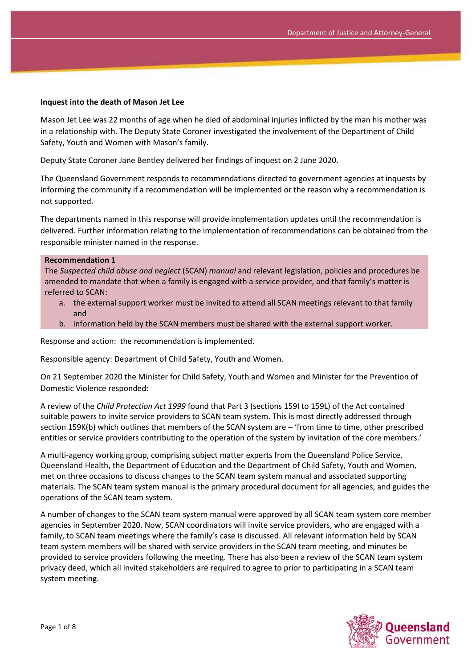#### **Inquest into the death of Mason Jet Lee**

Mason Jet Lee was 22 months of age when he died of abdominal injuries inflicted by the man his mother was in a relationship with. The Deputy State Coroner investigated the involvement of the Department of Child Safety, Youth and Women with Mason's family.

Deputy State Coroner Jane Bentley delivered her findings of inquest on 2 June 2020.

The Queensland Government responds to recommendations directed to government agencies at inquests by informing the community if a recommendation will be implemented or the reason why a recommendation is not supported.

The departments named in this response will provide implementation updates until the recommendation is delivered. Further information relating to the implementation of recommendations can be obtained from the responsible minister named in the response.

#### **Recommendation 1**

The *Suspected child abuse and neglect* (SCAN) *manual* and relevant legislation, policies and procedures be amended to mandate that when a family is engaged with a service provider, and that family's matter is referred to SCAN:

- a. the external support worker must be invited to attend all SCAN meetings relevant to that family and
- b. information held by the SCAN members must be shared with the external support worker.

Response and action: the recommendation is implemented.

Responsible agency: Department of Child Safety, Youth and Women.

On 21 September 2020 the Minister for Child Safety, Youth and Women and Minister for the Prevention of Domestic Violence responded:

A review of the *Child Protection Act 1999* found that Part 3 (sections 159I to 159L) of the Act contained suitable powers to invite service providers to SCAN team system. This is most directly addressed through section 159K(b) which outlines that members of the SCAN system are – 'from time to time, other prescribed entities or service providers contributing to the operation of the system by invitation of the core members.'

A multi-agency working group, comprising subject matter experts from the Queensland Police Service, Queensland Health, the Department of Education and the Department of Child Safety, Youth and Women, met on three occasions to discuss changes to the SCAN team system manual and associated supporting materials. The SCAN team system manual is the primary procedural document for all agencies, and guides the operations of the SCAN team system.

A number of changes to the SCAN team system manual were approved by all SCAN team system core member agencies in September 2020. Now, SCAN coordinators will invite service providers, who are engaged with a family, to SCAN team meetings where the family's case is discussed. All relevant information held by SCAN team system members will be shared with service providers in the SCAN team meeting, and minutes be provided to service providers following the meeting. There has also been a review of the SCAN team system privacy deed, which all invited stakeholders are required to agree to prior to participating in a SCAN team system meeting.

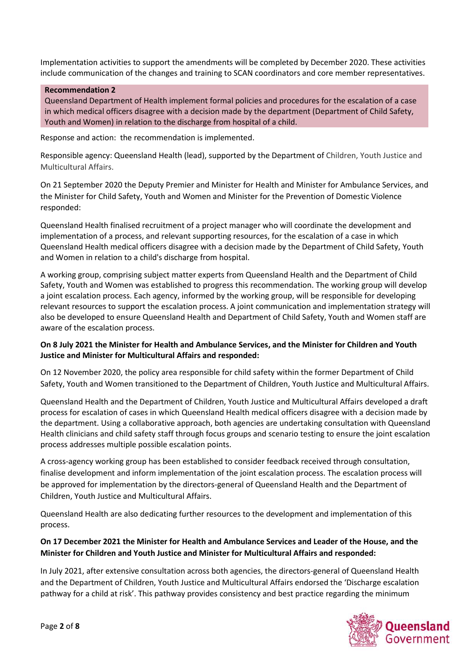Implementation activities to support the amendments will be completed by December 2020. These activities include communication of the changes and training to SCAN coordinators and core member representatives.

### **Recommendation 2**

Queensland Department of Health implement formal policies and procedures for the escalation of a case in which medical officers disagree with a decision made by the department (Department of Child Safety, Youth and Women) in relation to the discharge from hospital of a child.

Response and action: the recommendation is implemented.

Responsible agency: Queensland Health (lead), supported by the Department of Children, Youth Justice and Multicultural Affairs.

On 21 September 2020 the Deputy Premier and Minister for Health and Minister for Ambulance Services, and the Minister for Child Safety, Youth and Women and Minister for the Prevention of Domestic Violence responded:

Queensland Health finalised recruitment of a project manager who will coordinate the development and implementation of a process, and relevant supporting resources, for the escalation of a case in which Queensland Health medical officers disagree with a decision made by the Department of Child Safety, Youth and Women in relation to a child's discharge from hospital.

A working group, comprising subject matter experts from Queensland Health and the Department of Child Safety, Youth and Women was established to progress this recommendation. The working group will develop a joint escalation process. Each agency, informed by the working group, will be responsible for developing relevant resources to support the escalation process. A joint communication and implementation strategy will also be developed to ensure Queensland Health and Department of Child Safety, Youth and Women staff are aware of the escalation process.

### **On 8 July 2021 the Minister for Health and Ambulance Services, and the Minister for Children and Youth Justice and Minister for Multicultural Affairs and responded:**

On 12 November 2020, the policy area responsible for child safety within the former Department of Child Safety, Youth and Women transitioned to the Department of Children, Youth Justice and Multicultural Affairs.

Queensland Health and the Department of Children, Youth Justice and Multicultural Affairs developed a draft process for escalation of cases in which Queensland Health medical officers disagree with a decision made by the department. Using a collaborative approach, both agencies are undertaking consultation with Queensland Health clinicians and child safety staff through focus groups and scenario testing to ensure the joint escalation process addresses multiple possible escalation points.

A cross-agency working group has been established to consider feedback received through consultation, finalise development and inform implementation of the joint escalation process. The escalation process will be approved for implementation by the directors-general of Queensland Health and the Department of Children, Youth Justice and Multicultural Affairs.

Queensland Health are also dedicating further resources to the development and implementation of this process.

# **On 17 December 2021 the Minister for Health and Ambulance Services and Leader of the House, and the Minister for Children and Youth Justice and Minister for Multicultural Affairs and responded:**

In July 2021, after extensive consultation across both agencies, the directors-general of Queensland Health and the Department of Children, Youth Justice and Multicultural Affairs endorsed the 'Discharge escalation pathway for a child at risk'. This pathway provides consistency and best practice regarding the minimum

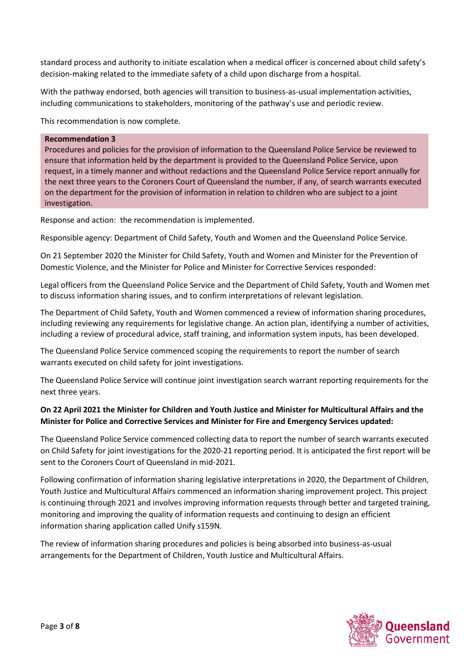standard process and authority to initiate escalation when a medical officer is concerned about child safety's decision-making related to the immediate safety of a child upon discharge from a hospital.

With the pathway endorsed, both agencies will transition to business-as-usual implementation activities, including communications to stakeholders, monitoring of the pathway's use and periodic review.

This recommendation is now complete.

### **Recommendation 3**

Procedures and policies for the provision of information to the Queensland Police Service be reviewed to ensure that information held by the department is provided to the Queensland Police Service, upon request, in a timely manner and without redactions and the Queensland Police Service report annually for the next three years to the Coroners Court of Queensland the number, if any, of search warrants executed on the department for the provision of information in relation to children who are subject to a joint investigation.

Response and action: the recommendation is implemented.

Responsible agency: Department of Child Safety, Youth and Women and the Queensland Police Service.

On 21 September 2020 the Minister for Child Safety, Youth and Women and Minister for the Prevention of Domestic Violence, and the Minister for Police and Minister for Corrective Services responded:

Legal officers from the Queensland Police Service and the Department of Child Safety, Youth and Women met to discuss information sharing issues, and to confirm interpretations of relevant legislation.

The Department of Child Safety, Youth and Women commenced a review of information sharing procedures, including reviewing any requirements for legislative change. An action plan, identifying a number of activities, including a review of procedural advice, staff training, and information system inputs, has been developed.

The Queensland Police Service commenced scoping the requirements to report the number of search warrants executed on child safety for joint investigations.

The Queensland Police Service will continue joint investigation search warrant reporting requirements for the next three years.

# **On 22 April 2021 the Minister for Children and Youth Justice and Minister for Multicultural Affairs and the Minister for Police and Corrective Services and Minister for Fire and Emergency Services updated:**

The Queensland Police Service commenced collecting data to report the number of search warrants executed on Child Safety for joint investigations for the 2020-21 reporting period. It is anticipated the first report will be sent to the Coroners Court of Queensland in mid-2021.

Following confirmation of information sharing legislative interpretations in 2020, the Department of Children, Youth Justice and Multicultural Affairs commenced an information sharing improvement project. This project is continuing through 2021 and involves improving information requests through better and targeted training, monitoring and improving the quality of information requests and continuing to design an efficient information sharing application called Unify s159N.

The review of information sharing procedures and policies is being absorbed into business-as-usual arrangements for the Department of Children, Youth Justice and Multicultural Affairs.

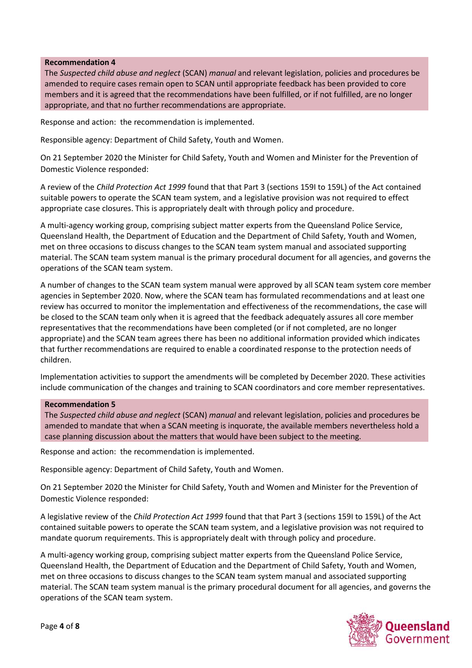### **Recommendation 4**

The *Suspected child abuse and neglect* (SCAN) *manual* and relevant legislation, policies and procedures be amended to require cases remain open to SCAN until appropriate feedback has been provided to core members and it is agreed that the recommendations have been fulfilled, or if not fulfilled, are no longer appropriate, and that no further recommendations are appropriate.

Response and action: the recommendation is implemented.

Responsible agency: Department of Child Safety, Youth and Women.

On 21 September 2020 the Minister for Child Safety, Youth and Women and Minister for the Prevention of Domestic Violence responded:

A review of the *Child Protection Act 1999* found that that Part 3 (sections 159I to 159L) of the Act contained suitable powers to operate the SCAN team system, and a legislative provision was not required to effect appropriate case closures. This is appropriately dealt with through policy and procedure.

A multi-agency working group, comprising subject matter experts from the Queensland Police Service, Queensland Health, the Department of Education and the Department of Child Safety, Youth and Women, met on three occasions to discuss changes to the SCAN team system manual and associated supporting material. The SCAN team system manual is the primary procedural document for all agencies, and governs the operations of the SCAN team system.

A number of changes to the SCAN team system manual were approved by all SCAN team system core member agencies in September 2020. Now, where the SCAN team has formulated recommendations and at least one review has occurred to monitor the implementation and effectiveness of the recommendations, the case will be closed to the SCAN team only when it is agreed that the feedback adequately assures all core member representatives that the recommendations have been completed (or if not completed, are no longer appropriate) and the SCAN team agrees there has been no additional information provided which indicates that further recommendations are required to enable a coordinated response to the protection needs of children.

Implementation activities to support the amendments will be completed by December 2020. These activities include communication of the changes and training to SCAN coordinators and core member representatives.

### **Recommendation 5**

The *Suspected child abuse and neglect* (SCAN) *manual* and relevant legislation, policies and procedures be amended to mandate that when a SCAN meeting is inquorate, the available members nevertheless hold a case planning discussion about the matters that would have been subject to the meeting.

Response and action: the recommendation is implemented.

Responsible agency: Department of Child Safety, Youth and Women.

On 21 September 2020 the Minister for Child Safety, Youth and Women and Minister for the Prevention of Domestic Violence responded:

A legislative review of the *Child Protection Act 1999* found that that Part 3 (sections 159I to 159L) of the Act contained suitable powers to operate the SCAN team system, and a legislative provision was not required to mandate quorum requirements. This is appropriately dealt with through policy and procedure.

A multi-agency working group, comprising subject matter experts from the Queensland Police Service, Queensland Health, the Department of Education and the Department of Child Safety, Youth and Women, met on three occasions to discuss changes to the SCAN team system manual and associated supporting material. The SCAN team system manual is the primary procedural document for all agencies, and governs the operations of the SCAN team system.

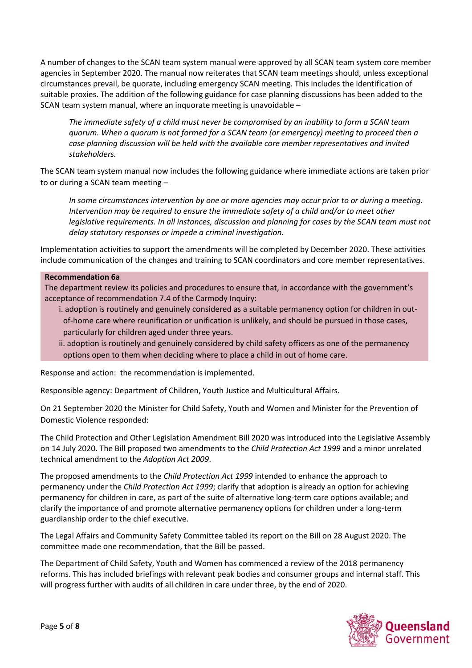A number of changes to the SCAN team system manual were approved by all SCAN team system core member agencies in September 2020. The manual now reiterates that SCAN team meetings should, unless exceptional circumstances prevail, be quorate, including emergency SCAN meeting. This includes the identification of suitable proxies. The addition of the following guidance for case planning discussions has been added to the SCAN team system manual, where an inquorate meeting is unavoidable –

*The immediate safety of a child must never be compromised by an inability to form a SCAN team quorum. When a quorum is not formed for a SCAN team (or emergency) meeting to proceed then a case planning discussion will be held with the available core member representatives and invited stakeholders.*

The SCAN team system manual now includes the following guidance where immediate actions are taken prior to or during a SCAN team meeting –

*In some circumstances intervention by one or more agencies may occur prior to or during a meeting. Intervention may be required to ensure the immediate safety of a child and/or to meet other legislative requirements. In all instances, discussion and planning for cases by the SCAN team must not delay statutory responses or impede a criminal investigation.*

Implementation activities to support the amendments will be completed by December 2020. These activities include communication of the changes and training to SCAN coordinators and core member representatives.

### **Recommendation 6a**

The department review its policies and procedures to ensure that, in accordance with the government's acceptance of recommendation 7.4 of the Carmody Inquiry:

i. adoption is routinely and genuinely considered as a suitable permanency option for children in outof-home care where reunification or unification is unlikely, and should be pursued in those cases, particularly for children aged under three years.

ii. adoption is routinely and genuinely considered by child safety officers as one of the permanency options open to them when deciding where to place a child in out of home care.

Response and action: the recommendation is implemented.

Responsible agency: Department of Children, Youth Justice and Multicultural Affairs.

On 21 September 2020 the Minister for Child Safety, Youth and Women and Minister for the Prevention of Domestic Violence responded:

The Child Protection and Other Legislation Amendment Bill 2020 was introduced into the Legislative Assembly on 14 July 2020. The Bill proposed two amendments to the *Child Protection Act 1999* and a minor unrelated technical amendment to the *Adoption Act 2009*.

The proposed amendments to the *Child Protection Act 1999* intended to enhance the approach to permanency under the *Child Protection Act 1999*; clarify that adoption is already an option for achieving permanency for children in care, as part of the suite of alternative long-term care options available; and clarify the importance of and promote alternative permanency options for children under a long-term guardianship order to the chief executive.

The Legal Affairs and Community Safety Committee tabled its report on the Bill on 28 August 2020. The committee made one recommendation, that the Bill be passed.

The Department of Child Safety, Youth and Women has commenced a review of the 2018 permanency reforms. This has included briefings with relevant peak bodies and consumer groups and internal staff. This will progress further with audits of all children in care under three, by the end of 2020.

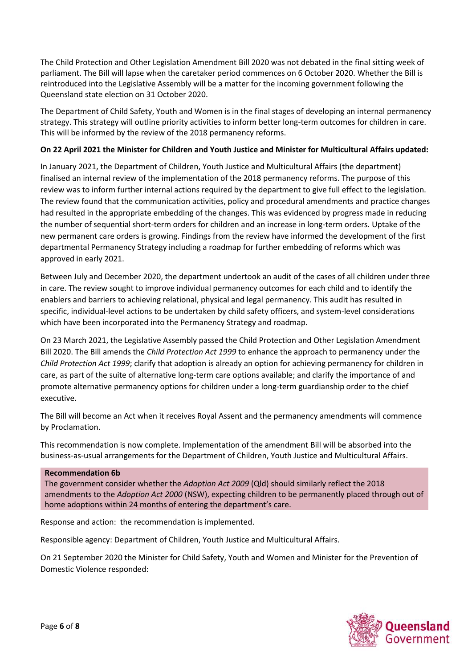The Child Protection and Other Legislation Amendment Bill 2020 was not debated in the final sitting week of parliament. The Bill will lapse when the caretaker period commences on 6 October 2020. Whether the Bill is reintroduced into the Legislative Assembly will be a matter for the incoming government following the Queensland state election on 31 October 2020.

The Department of Child Safety, Youth and Women is in the final stages of developing an internal permanency strategy. This strategy will outline priority activities to inform better long-term outcomes for children in care. This will be informed by the review of the 2018 permanency reforms.

### **On 22 April 2021 the Minister for Children and Youth Justice and Minister for Multicultural Affairs updated:**

In January 2021, the Department of Children, Youth Justice and Multicultural Affairs (the department) finalised an internal review of the implementation of the 2018 permanency reforms. The purpose of this review was to inform further internal actions required by the department to give full effect to the legislation. The review found that the communication activities, policy and procedural amendments and practice changes had resulted in the appropriate embedding of the changes. This was evidenced by progress made in reducing the number of sequential short-term orders for children and an increase in long-term orders. Uptake of the new permanent care orders is growing. Findings from the review have informed the development of the first departmental Permanency Strategy including a roadmap for further embedding of reforms which was approved in early 2021.

Between July and December 2020, the department undertook an audit of the cases of all children under three in care. The review sought to improve individual permanency outcomes for each child and to identify the enablers and barriers to achieving relational, physical and legal permanency. This audit has resulted in specific, individual-level actions to be undertaken by child safety officers, and system-level considerations which have been incorporated into the Permanency Strategy and roadmap.

On 23 March 2021, the Legislative Assembly passed the Child Protection and Other Legislation Amendment Bill 2020. The Bill amends the *Child Protection Act 1999* to enhance the approach to permanency under the *Child Protection Act 1999*; clarify that adoption is already an option for achieving permanency for children in care, as part of the suite of alternative long-term care options available; and clarify the importance of and promote alternative permanency options for children under a long-term guardianship order to the chief executive.

The Bill will become an Act when it receives Royal Assent and the permanency amendments will commence by Proclamation.

This recommendation is now complete. Implementation of the amendment Bill will be absorbed into the business-as-usual arrangements for the Department of Children, Youth Justice and Multicultural Affairs.

### **Recommendation 6b**

The government consider whether the *Adoption Act 2009* (Qld) should similarly reflect the 2018 amendments to the *Adoption Act 2000* (NSW), expecting children to be permanently placed through out of home adoptions within 24 months of entering the department's care.

Response and action: the recommendation is implemented.

Responsible agency: Department of Children, Youth Justice and Multicultural Affairs.

On 21 September 2020 the Minister for Child Safety, Youth and Women and Minister for the Prevention of Domestic Violence responded:

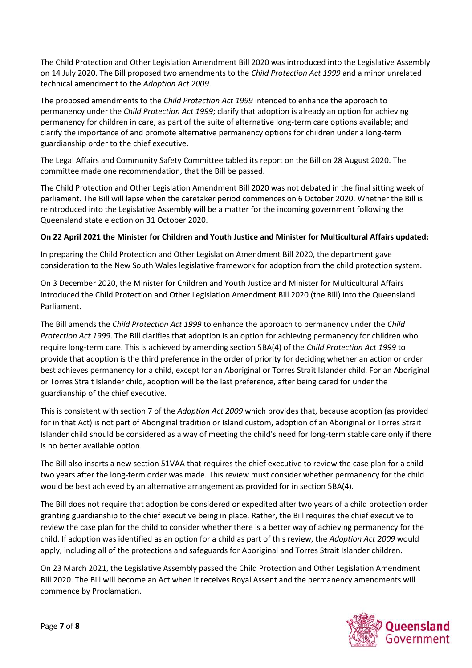The Child Protection and Other Legislation Amendment Bill 2020 was introduced into the Legislative Assembly on 14 July 2020. The Bill proposed two amendments to the *Child Protection Act 1999* and a minor unrelated technical amendment to the *Adoption Act 2009*.

The proposed amendments to the *Child Protection Act 1999* intended to enhance the approach to permanency under the *Child Protection Act 1999*; clarify that adoption is already an option for achieving permanency for children in care, as part of the suite of alternative long-term care options available; and clarify the importance of and promote alternative permanency options for children under a long-term guardianship order to the chief executive.

The Legal Affairs and Community Safety Committee tabled its report on the Bill on 28 August 2020. The committee made one recommendation, that the Bill be passed.

The Child Protection and Other Legislation Amendment Bill 2020 was not debated in the final sitting week of parliament. The Bill will lapse when the caretaker period commences on 6 October 2020. Whether the Bill is reintroduced into the Legislative Assembly will be a matter for the incoming government following the Queensland state election on 31 October 2020.

# **On 22 April 2021 the Minister for Children and Youth Justice and Minister for Multicultural Affairs updated:**

In preparing the Child Protection and Other Legislation Amendment Bill 2020, the department gave consideration to the New South Wales legislative framework for adoption from the child protection system.

On 3 December 2020, the Minister for Children and Youth Justice and Minister for Multicultural Affairs introduced the Child Protection and Other Legislation Amendment Bill 2020 (the Bill) into the Queensland Parliament.

The Bill amends the *Child Protection Act 1999* to enhance the approach to permanency under the *Child Protection Act 1999*. The Bill clarifies that adoption is an option for achieving permanency for children who require long-term care. This is achieved by amending section 5BA(4) of the *Child Protection Act 1999* to provide that adoption is the third preference in the order of priority for deciding whether an action or order best achieves permanency for a child, except for an Aboriginal or Torres Strait Islander child. For an Aboriginal or Torres Strait Islander child, adoption will be the last preference, after being cared for under the guardianship of the chief executive.

This is consistent with section 7 of the *Adoption Act 2009* which provides that, because adoption (as provided for in that Act) is not part of Aboriginal tradition or Island custom, adoption of an Aboriginal or Torres Strait Islander child should be considered as a way of meeting the child's need for long-term stable care only if there is no better available option.

The Bill also inserts a new section 51VAA that requires the chief executive to review the case plan for a child two years after the long-term order was made. This review must consider whether permanency for the child would be best achieved by an alternative arrangement as provided for in section 5BA(4).

The Bill does not require that adoption be considered or expedited after two years of a child protection order granting guardianship to the chief executive being in place. Rather, the Bill requires the chief executive to review the case plan for the child to consider whether there is a better way of achieving permanency for the child. If adoption was identified as an option for a child as part of this review, the *Adoption Act 2009* would apply, including all of the protections and safeguards for Aboriginal and Torres Strait Islander children.

On 23 March 2021, the Legislative Assembly passed the Child Protection and Other Legislation Amendment Bill 2020. The Bill will become an Act when it receives Royal Assent and the permanency amendments will commence by Proclamation.